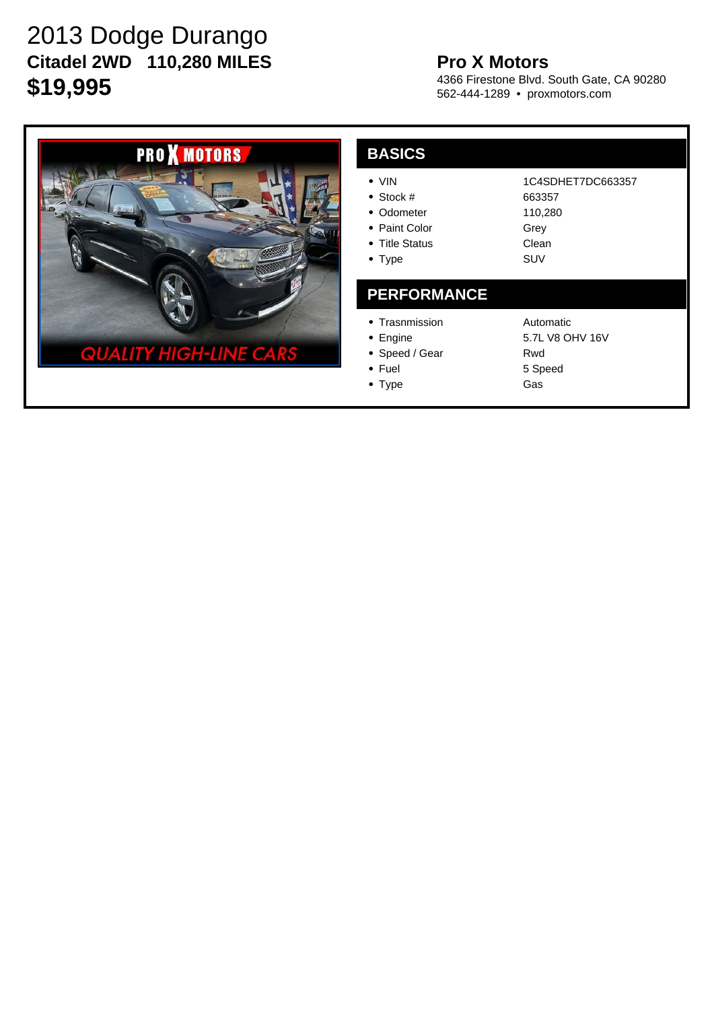# 2013 Dodge Durango **Citadel 2WD 110,280 MILES \$19,995**

## **Pro X Motors**

4366 Firestone Blvd. South Gate, CA 90280 562-444-1289 • proxmotors.com



#### **BASICS** VIN Stock # • Odometer • Paint Color • Title Status • Type 1C4SDHET7DC663357 663357 110,280 Grey Clean SUV **PERFORMANCE** • Trasnmission • Engine • Speed / Gear • Fuel Automatic 5.7L V8 OHV 16V Rwd 5 Speed

• Type

Gas